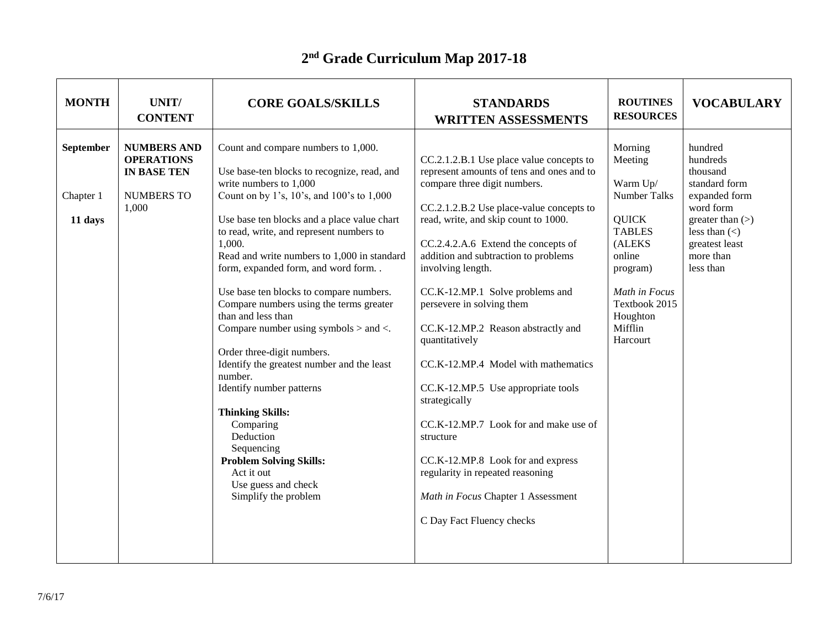## **2 nd Grade Curriculum Map 2017-18**

| <b>MONTH</b>                             | UNIT/<br><b>CONTENT</b>                                                                     | <b>CORE GOALS/SKILLS</b>                                                                                                                                                                                                                                                                                                                                                                                                                                                                                                                                                                                                                                                                                                                                                                              | <b>STANDARDS</b><br><b>WRITTEN ASSESSMENTS</b>                                                                                                                                                                                                                                                                                                                                                                                                                                                                                                                                                                                                                                                                                        | <b>ROUTINES</b><br><b>RESOURCES</b>                                                                                                                                                  | <b>VOCABULARY</b>                                                                                                                                                     |
|------------------------------------------|---------------------------------------------------------------------------------------------|-------------------------------------------------------------------------------------------------------------------------------------------------------------------------------------------------------------------------------------------------------------------------------------------------------------------------------------------------------------------------------------------------------------------------------------------------------------------------------------------------------------------------------------------------------------------------------------------------------------------------------------------------------------------------------------------------------------------------------------------------------------------------------------------------------|---------------------------------------------------------------------------------------------------------------------------------------------------------------------------------------------------------------------------------------------------------------------------------------------------------------------------------------------------------------------------------------------------------------------------------------------------------------------------------------------------------------------------------------------------------------------------------------------------------------------------------------------------------------------------------------------------------------------------------------|--------------------------------------------------------------------------------------------------------------------------------------------------------------------------------------|-----------------------------------------------------------------------------------------------------------------------------------------------------------------------|
| <b>September</b><br>Chapter 1<br>11 days | <b>NUMBERS AND</b><br><b>OPERATIONS</b><br><b>IN BASE TEN</b><br><b>NUMBERS TO</b><br>1,000 | Count and compare numbers to 1,000.<br>Use base-ten blocks to recognize, read, and<br>write numbers to 1,000<br>Count on by 1's, 10's, and 100's to 1,000<br>Use base ten blocks and a place value chart<br>to read, write, and represent numbers to<br>1,000.<br>Read and write numbers to 1,000 in standard<br>form, expanded form, and word form. .<br>Use base ten blocks to compare numbers.<br>Compare numbers using the terms greater<br>than and less than<br>Compare number using symbols $>$ and $<$ .<br>Order three-digit numbers.<br>Identify the greatest number and the least<br>number.<br>Identify number patterns<br><b>Thinking Skills:</b><br>Comparing<br>Deduction<br>Sequencing<br><b>Problem Solving Skills:</b><br>Act it out<br>Use guess and check<br>Simplify the problem | CC.2.1.2.B.1 Use place value concepts to<br>represent amounts of tens and ones and to<br>compare three digit numbers.<br>CC.2.1.2.B.2 Use place-value concepts to<br>read, write, and skip count to 1000.<br>CC.2.4.2.A.6 Extend the concepts of<br>addition and subtraction to problems<br>involving length.<br>CC.K-12.MP.1 Solve problems and<br>persevere in solving them<br>CC.K-12.MP.2 Reason abstractly and<br>quantitatively<br>CC.K-12.MP.4 Model with mathematics<br>CC.K-12.MP.5 Use appropriate tools<br>strategically<br>CC.K-12.MP.7 Look for and make use of<br>structure<br>CC.K-12.MP.8 Look for and express<br>regularity in repeated reasoning<br>Math in Focus Chapter 1 Assessment<br>C Day Fact Fluency checks | Morning<br>Meeting<br>Warm Up/<br>Number Talks<br><b>QUICK</b><br><b>TABLES</b><br>(ALEKS<br>online<br>program)<br>Math in Focus<br>Textbook 2015<br>Houghton<br>Mifflin<br>Harcourt | hundred<br>hundreds<br>thousand<br>standard form<br>expanded form<br>word form<br>greater than $(>)$<br>less than $(\le)$<br>greatest least<br>more than<br>less than |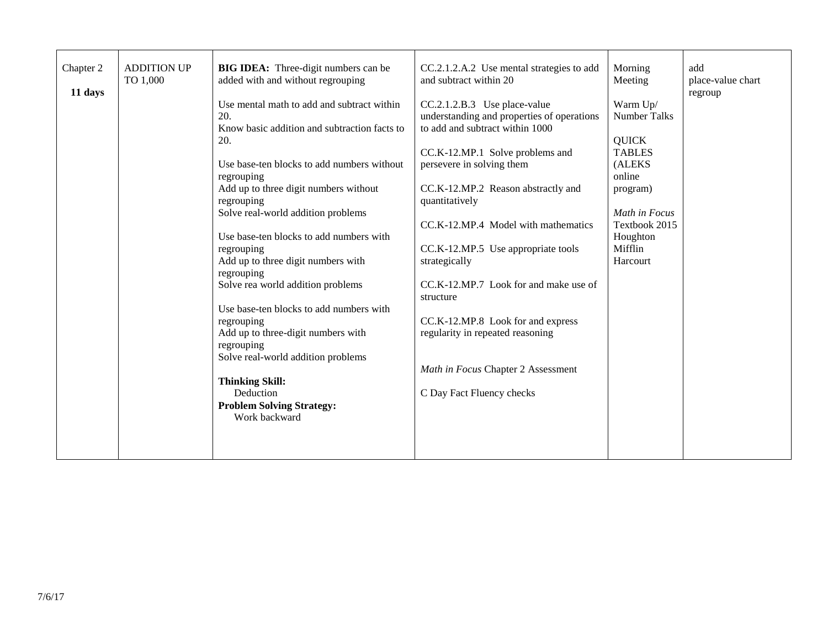| Chapter 2<br>11 days | <b>ADDITION UP</b><br>TO 1,000 | <b>BIG IDEA:</b> Three-digit numbers can be<br>added with and without regrouping<br>Use mental math to add and subtract within<br>20.<br>Know basic addition and subtraction facts to<br>20.<br>Use base-ten blocks to add numbers without<br>regrouping<br>Add up to three digit numbers without<br>regrouping<br>Solve real-world addition problems<br>Use base-ten blocks to add numbers with<br>regrouping<br>Add up to three digit numbers with<br>regrouping<br>Solve rea world addition problems<br>Use base-ten blocks to add numbers with<br>regrouping<br>Add up to three-digit numbers with<br>regrouping<br>Solve real-world addition problems | CC.2.1.2.A.2 Use mental strategies to add<br>and subtract within 20<br>CC.2.1.2.B.3 Use place-value<br>understanding and properties of operations<br>to add and subtract within 1000<br>CC.K-12.MP.1 Solve problems and<br>persevere in solving them<br>CC.K-12.MP.2 Reason abstractly and<br>quantitatively<br>CC.K-12.MP.4 Model with mathematics<br>CC.K-12.MP.5 Use appropriate tools<br>strategically<br>CC.K-12.MP.7 Look for and make use of<br>structure<br>CC.K-12.MP.8 Look for and express<br>regularity in repeated reasoning<br>Math in Focus Chapter 2 Assessment | Morning<br>Meeting<br>Warm Up/<br><b>Number Talks</b><br><b>QUICK</b><br><b>TABLES</b><br>(ALEKS<br>online<br>program)<br>Math in Focus<br>Textbook 2015<br>Houghton<br>Mifflin<br>Harcourt | add<br>place-value chart<br>regroup |
|----------------------|--------------------------------|------------------------------------------------------------------------------------------------------------------------------------------------------------------------------------------------------------------------------------------------------------------------------------------------------------------------------------------------------------------------------------------------------------------------------------------------------------------------------------------------------------------------------------------------------------------------------------------------------------------------------------------------------------|---------------------------------------------------------------------------------------------------------------------------------------------------------------------------------------------------------------------------------------------------------------------------------------------------------------------------------------------------------------------------------------------------------------------------------------------------------------------------------------------------------------------------------------------------------------------------------|---------------------------------------------------------------------------------------------------------------------------------------------------------------------------------------------|-------------------------------------|
|                      |                                | <b>Thinking Skill:</b><br>Deduction<br><b>Problem Solving Strategy:</b><br>Work backward                                                                                                                                                                                                                                                                                                                                                                                                                                                                                                                                                                   | C Day Fact Fluency checks                                                                                                                                                                                                                                                                                                                                                                                                                                                                                                                                                       |                                                                                                                                                                                             |                                     |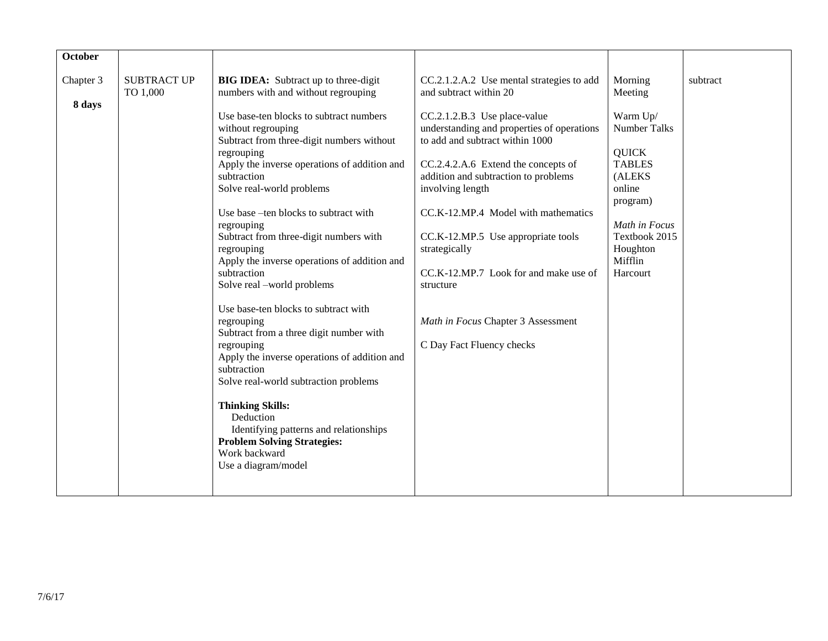| <b>October</b>      |                                |                                                                                                                                                                                                                                                                                                                                                                                                                                                                                                                                                                                                                                                                                                                                                                          |                                                                                                                                                                                                                                                                                                                                                                                                                                                                                                                |                                                                                                                                                                                             |          |
|---------------------|--------------------------------|--------------------------------------------------------------------------------------------------------------------------------------------------------------------------------------------------------------------------------------------------------------------------------------------------------------------------------------------------------------------------------------------------------------------------------------------------------------------------------------------------------------------------------------------------------------------------------------------------------------------------------------------------------------------------------------------------------------------------------------------------------------------------|----------------------------------------------------------------------------------------------------------------------------------------------------------------------------------------------------------------------------------------------------------------------------------------------------------------------------------------------------------------------------------------------------------------------------------------------------------------------------------------------------------------|---------------------------------------------------------------------------------------------------------------------------------------------------------------------------------------------|----------|
| Chapter 3<br>8 days | <b>SUBTRACT UP</b><br>TO 1,000 | <b>BIG IDEA:</b> Subtract up to three-digit<br>numbers with and without regrouping<br>Use base-ten blocks to subtract numbers<br>without regrouping<br>Subtract from three-digit numbers without<br>regrouping<br>Apply the inverse operations of addition and<br>subtraction<br>Solve real-world problems<br>Use base -ten blocks to subtract with<br>regrouping<br>Subtract from three-digit numbers with<br>regrouping<br>Apply the inverse operations of addition and<br>subtraction<br>Solve real -world problems<br>Use base-ten blocks to subtract with<br>regrouping<br>Subtract from a three digit number with<br>regrouping<br>Apply the inverse operations of addition and<br>subtraction<br>Solve real-world subtraction problems<br><b>Thinking Skills:</b> | CC.2.1.2.A.2 Use mental strategies to add<br>and subtract within 20<br>CC.2.1.2.B.3 Use place-value<br>understanding and properties of operations<br>to add and subtract within 1000<br>CC.2.4.2.A.6 Extend the concepts of<br>addition and subtraction to problems<br>involving length<br>CC.K-12.MP.4 Model with mathematics<br>CC.K-12.MP.5 Use appropriate tools<br>strategically<br>CC.K-12.MP.7 Look for and make use of<br>structure<br>Math in Focus Chapter 3 Assessment<br>C Day Fact Fluency checks | Morning<br>Meeting<br>Warm Up/<br><b>Number Talks</b><br><b>QUICK</b><br><b>TABLES</b><br>(ALEKS<br>online<br>program)<br>Math in Focus<br>Textbook 2015<br>Houghton<br>Mifflin<br>Harcourt | subtract |
|                     |                                | Deduction<br>Identifying patterns and relationships<br><b>Problem Solving Strategies:</b><br>Work backward<br>Use a diagram/model                                                                                                                                                                                                                                                                                                                                                                                                                                                                                                                                                                                                                                        |                                                                                                                                                                                                                                                                                                                                                                                                                                                                                                                |                                                                                                                                                                                             |          |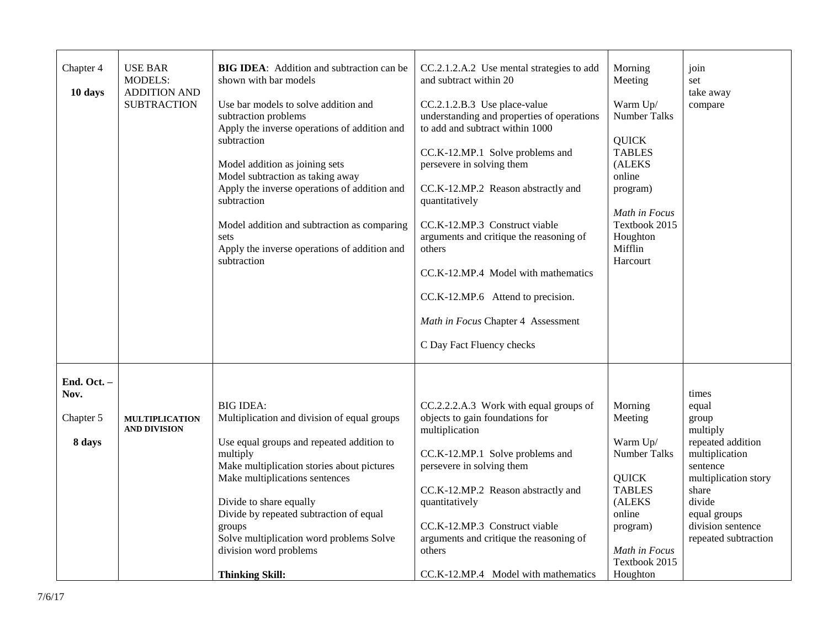| Chapter 4<br>10 days             | <b>USE BAR</b><br><b>MODELS:</b><br><b>ADDITION AND</b><br><b>SUBTRACTION</b> | <b>BIG IDEA:</b> Addition and subtraction can be<br>shown with bar models<br>Use bar models to solve addition and<br>subtraction problems<br>Apply the inverse operations of addition and<br>subtraction<br>Model addition as joining sets<br>Model subtraction as taking away<br>Apply the inverse operations of addition and<br>subtraction<br>Model addition and subtraction as comparing<br>sets<br>Apply the inverse operations of addition and<br>subtraction | CC.2.1.2.A.2 Use mental strategies to add<br>and subtract within 20<br>CC.2.1.2.B.3 Use place-value<br>understanding and properties of operations<br>to add and subtract within 1000<br>CC.K-12.MP.1 Solve problems and<br>persevere in solving them<br>CC.K-12.MP.2 Reason abstractly and<br>quantitatively<br>CC.K-12.MP.3 Construct viable<br>arguments and critique the reasoning of<br>others<br>CC.K-12.MP.4 Model with mathematics<br>CC.K-12.MP.6 Attend to precision.<br>Math in Focus Chapter 4 Assessment<br>C Day Fact Fluency checks | Morning<br>Meeting<br>Warm Up/<br><b>Number Talks</b><br><b>QUICK</b><br><b>TABLES</b><br>(ALEKS<br>online<br>program)<br>Math in Focus<br>Textbook 2015<br>Houghton<br>Mifflin<br>Harcourt | join<br>set<br>take away<br>compare                                                                                                                     |
|----------------------------------|-------------------------------------------------------------------------------|---------------------------------------------------------------------------------------------------------------------------------------------------------------------------------------------------------------------------------------------------------------------------------------------------------------------------------------------------------------------------------------------------------------------------------------------------------------------|---------------------------------------------------------------------------------------------------------------------------------------------------------------------------------------------------------------------------------------------------------------------------------------------------------------------------------------------------------------------------------------------------------------------------------------------------------------------------------------------------------------------------------------------------|---------------------------------------------------------------------------------------------------------------------------------------------------------------------------------------------|---------------------------------------------------------------------------------------------------------------------------------------------------------|
| End. Oct. -<br>Nov.<br>Chapter 5 | <b>MULTIPLICATION</b><br><b>AND DIVISION</b>                                  | <b>BIG IDEA:</b><br>Multiplication and division of equal groups                                                                                                                                                                                                                                                                                                                                                                                                     | CC.2.2.2.A.3 Work with equal groups of<br>objects to gain foundations for<br>multiplication                                                                                                                                                                                                                                                                                                                                                                                                                                                       | Morning<br>Meeting                                                                                                                                                                          | times<br>equal<br>group<br>multiply                                                                                                                     |
| 8 days                           |                                                                               | Use equal groups and repeated addition to<br>multiply<br>Make multiplication stories about pictures<br>Make multiplications sentences<br>Divide to share equally<br>Divide by repeated subtraction of equal<br>groups<br>Solve multiplication word problems Solve<br>division word problems<br><b>Thinking Skill:</b>                                                                                                                                               | CC.K-12.MP.1 Solve problems and<br>persevere in solving them<br>CC.K-12.MP.2 Reason abstractly and<br>quantitatively<br>CC.K-12.MP.3 Construct viable<br>arguments and critique the reasoning of<br>others<br>CC.K-12.MP.4 Model with mathematics                                                                                                                                                                                                                                                                                                 | Warm Up/<br>Number Talks<br><b>QUICK</b><br><b>TABLES</b><br>(ALEKS<br>online<br>program)<br>Math in Focus<br>Textbook 2015<br>Houghton                                                     | repeated addition<br>multiplication<br>sentence<br>multiplication story<br>share<br>divide<br>equal groups<br>division sentence<br>repeated subtraction |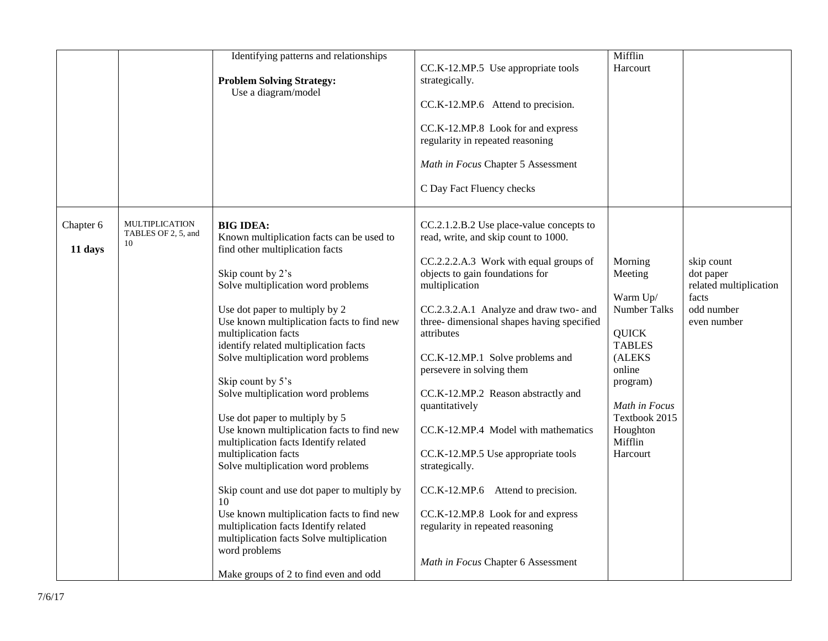|                      |                                                    | Identifying patterns and relationships<br><b>Problem Solving Strategy:</b><br>Use a diagram/model                                                                                                                                                                                                                                                                                                                                                                                                                                                                                                                                                                                                                                                                                                              | CC.K-12.MP.5 Use appropriate tools<br>strategically.<br>CC.K-12.MP.6 Attend to precision.<br>CC.K-12.MP.8 Look for and express<br>regularity in repeated reasoning<br>Math in Focus Chapter 5 Assessment<br>C Day Fact Fluency checks                                                                                                                                                                                                                                                                                                                                                                                      | Mifflin<br>Harcourt                                                                                                                                                                  |                                                                                         |
|----------------------|----------------------------------------------------|----------------------------------------------------------------------------------------------------------------------------------------------------------------------------------------------------------------------------------------------------------------------------------------------------------------------------------------------------------------------------------------------------------------------------------------------------------------------------------------------------------------------------------------------------------------------------------------------------------------------------------------------------------------------------------------------------------------------------------------------------------------------------------------------------------------|----------------------------------------------------------------------------------------------------------------------------------------------------------------------------------------------------------------------------------------------------------------------------------------------------------------------------------------------------------------------------------------------------------------------------------------------------------------------------------------------------------------------------------------------------------------------------------------------------------------------------|--------------------------------------------------------------------------------------------------------------------------------------------------------------------------------------|-----------------------------------------------------------------------------------------|
| Chapter 6<br>11 days | <b>MULTIPLICATION</b><br>TABLES OF 2, 5, and<br>10 | <b>BIG IDEA:</b><br>Known multiplication facts can be used to<br>find other multiplication facts<br>Skip count by 2's<br>Solve multiplication word problems<br>Use dot paper to multiply by 2<br>Use known multiplication facts to find new<br>multiplication facts<br>identify related multiplication facts<br>Solve multiplication word problems<br>Skip count by 5's<br>Solve multiplication word problems<br>Use dot paper to multiply by 5<br>Use known multiplication facts to find new<br>multiplication facts Identify related<br>multiplication facts<br>Solve multiplication word problems<br>Skip count and use dot paper to multiply by<br>10<br>Use known multiplication facts to find new<br>multiplication facts Identify related<br>multiplication facts Solve multiplication<br>word problems | CC.2.1.2.B.2 Use place-value concepts to<br>read, write, and skip count to 1000.<br>CC.2.2.2.A.3 Work with equal groups of<br>objects to gain foundations for<br>multiplication<br>CC.2.3.2.A.1 Analyze and draw two- and<br>three- dimensional shapes having specified<br>attributes<br>CC.K-12.MP.1 Solve problems and<br>persevere in solving them<br>CC.K-12.MP.2 Reason abstractly and<br>quantitatively<br>CC.K-12.MP.4 Model with mathematics<br>CC.K-12.MP.5 Use appropriate tools<br>strategically.<br>CC.K-12.MP.6 Attend to precision.<br>CC.K-12.MP.8 Look for and express<br>regularity in repeated reasoning | Morning<br>Meeting<br>Warm Up/<br>Number Talks<br><b>QUICK</b><br><b>TABLES</b><br>(ALEKS<br>online<br>program)<br>Math in Focus<br>Textbook 2015<br>Houghton<br>Mifflin<br>Harcourt | skip count<br>dot paper<br>related multiplication<br>facts<br>odd number<br>even number |
|                      |                                                    | Make groups of 2 to find even and odd                                                                                                                                                                                                                                                                                                                                                                                                                                                                                                                                                                                                                                                                                                                                                                          | Math in Focus Chapter 6 Assessment                                                                                                                                                                                                                                                                                                                                                                                                                                                                                                                                                                                         |                                                                                                                                                                                      |                                                                                         |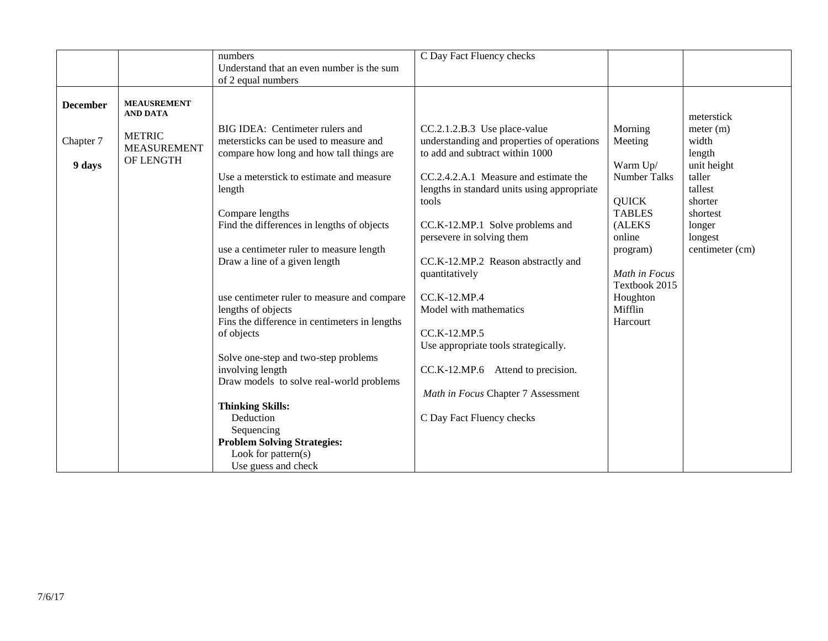|                 |                    | numbers                                       | C Day Fact Fluency checks                   |                     |                 |
|-----------------|--------------------|-----------------------------------------------|---------------------------------------------|---------------------|-----------------|
|                 |                    | Understand that an even number is the sum     |                                             |                     |                 |
|                 |                    | of 2 equal numbers                            |                                             |                     |                 |
|                 |                    |                                               |                                             |                     |                 |
| <b>December</b> | <b>MEAUSREMENT</b> |                                               |                                             |                     |                 |
|                 | <b>AND DATA</b>    |                                               |                                             |                     | meterstick      |
|                 |                    | BIG IDEA: Centimeter rulers and               | CC.2.1.2.B.3 Use place-value                | Morning             | meter (m)       |
| Chapter 7       | <b>METRIC</b>      | metersticks can be used to measure and        | understanding and properties of operations  | Meeting             | width           |
|                 | <b>MEASUREMENT</b> | compare how long and how tall things are      | to add and subtract within 1000             |                     | length          |
| 9 days          | OF LENGTH          |                                               |                                             | Warm Up/            | unit height     |
|                 |                    | Use a meterstick to estimate and measure      | CC.2.4.2.A.1 Measure and estimate the       | <b>Number Talks</b> | taller          |
|                 |                    | length                                        | lengths in standard units using appropriate |                     | tallest         |
|                 |                    |                                               | tools                                       | <b>QUICK</b>        | shorter         |
|                 |                    | Compare lengths                               |                                             | <b>TABLES</b>       | shortest        |
|                 |                    | Find the differences in lengths of objects    | CC.K-12.MP.1 Solve problems and             | (ALEKS              | longer          |
|                 |                    |                                               | persevere in solving them                   | online              | longest         |
|                 |                    | use a centimeter ruler to measure length      |                                             | program)            | centimeter (cm) |
|                 |                    | Draw a line of a given length                 | CC.K-12.MP.2 Reason abstractly and          |                     |                 |
|                 |                    |                                               | quantitatively                              | Math in Focus       |                 |
|                 |                    |                                               |                                             | Textbook 2015       |                 |
|                 |                    | use centimeter ruler to measure and compare   | CC.K-12.MP.4                                | Houghton            |                 |
|                 |                    | lengths of objects                            | Model with mathematics                      | Mifflin             |                 |
|                 |                    | Fins the difference in centimeters in lengths |                                             | Harcourt            |                 |
|                 |                    | of objects                                    | CC.K-12.MP.5                                |                     |                 |
|                 |                    |                                               | Use appropriate tools strategically.        |                     |                 |
|                 |                    | Solve one-step and two-step problems          |                                             |                     |                 |
|                 |                    | involving length                              | CC.K-12.MP.6 Attend to precision.           |                     |                 |
|                 |                    | Draw models to solve real-world problems      |                                             |                     |                 |
|                 |                    |                                               | Math in Focus Chapter 7 Assessment          |                     |                 |
|                 |                    | <b>Thinking Skills:</b>                       |                                             |                     |                 |
|                 |                    | Deduction                                     | C Day Fact Fluency checks                   |                     |                 |
|                 |                    | Sequencing                                    |                                             |                     |                 |
|                 |                    | <b>Problem Solving Strategies:</b>            |                                             |                     |                 |
|                 |                    | Look for pattern $(s)$                        |                                             |                     |                 |
|                 |                    | Use guess and check                           |                                             |                     |                 |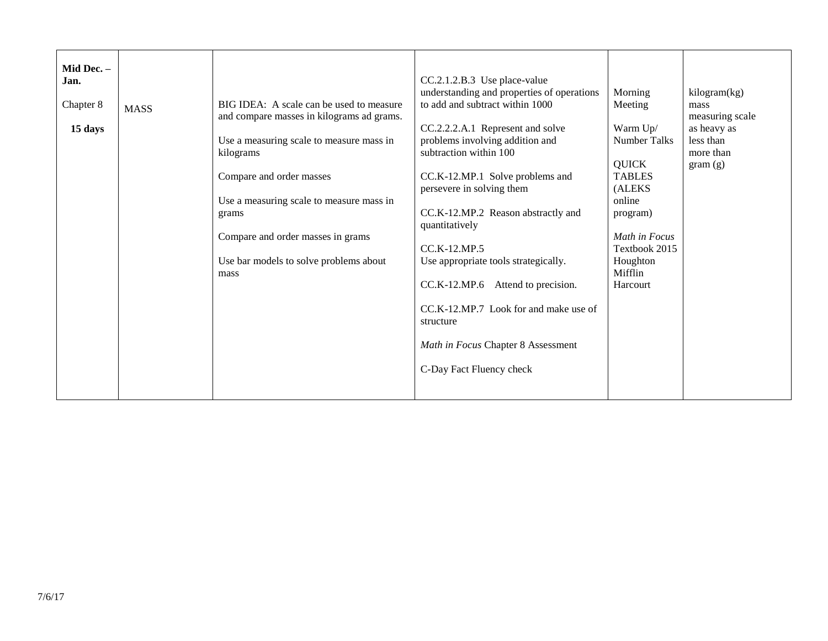| Mid Dec. -<br>Jan. |             |                                                                                                                                                                                                                               | CC.2.1.2.B.3 Use place-value<br>understanding and properties of operations                                                                                                                                                                                                                                                                                                                                                                    | Morning                                                                                                                                                               | kilogram(kg)                                     |
|--------------------|-------------|-------------------------------------------------------------------------------------------------------------------------------------------------------------------------------------------------------------------------------|-----------------------------------------------------------------------------------------------------------------------------------------------------------------------------------------------------------------------------------------------------------------------------------------------------------------------------------------------------------------------------------------------------------------------------------------------|-----------------------------------------------------------------------------------------------------------------------------------------------------------------------|--------------------------------------------------|
| Chapter 8          | <b>MASS</b> | BIG IDEA: A scale can be used to measure                                                                                                                                                                                      | to add and subtract within 1000                                                                                                                                                                                                                                                                                                                                                                                                               | Meeting                                                                                                                                                               | mass                                             |
|                    |             | and compare masses in kilograms ad grams.                                                                                                                                                                                     |                                                                                                                                                                                                                                                                                                                                                                                                                                               |                                                                                                                                                                       | measuring scale                                  |
| 15 days            |             | Use a measuring scale to measure mass in<br>kilograms<br>Compare and order masses<br>Use a measuring scale to measure mass in<br>grams<br>Compare and order masses in grams<br>Use bar models to solve problems about<br>mass | CC.2.2.2.A.1 Represent and solve<br>problems involving addition and<br>subtraction within 100<br>CC.K-12.MP.1 Solve problems and<br>persevere in solving them<br>CC.K-12.MP.2 Reason abstractly and<br>quantitatively<br>CC.K-12.MP.5<br>Use appropriate tools strategically.<br>CC.K-12.MP.6<br>Attend to precision.<br>CC.K-12.MP.7 Look for and make use of<br>structure<br>Math in Focus Chapter 8 Assessment<br>C-Day Fact Fluency check | Warm Up/<br><b>Number Talks</b><br><b>QUICK</b><br><b>TABLES</b><br>(ALEKS<br>online<br>program)<br>Math in Focus<br>Textbook 2015<br>Houghton<br>Mifflin<br>Harcourt | as heavy as<br>less than<br>more than<br>gram(g) |
|                    |             |                                                                                                                                                                                                                               |                                                                                                                                                                                                                                                                                                                                                                                                                                               |                                                                                                                                                                       |                                                  |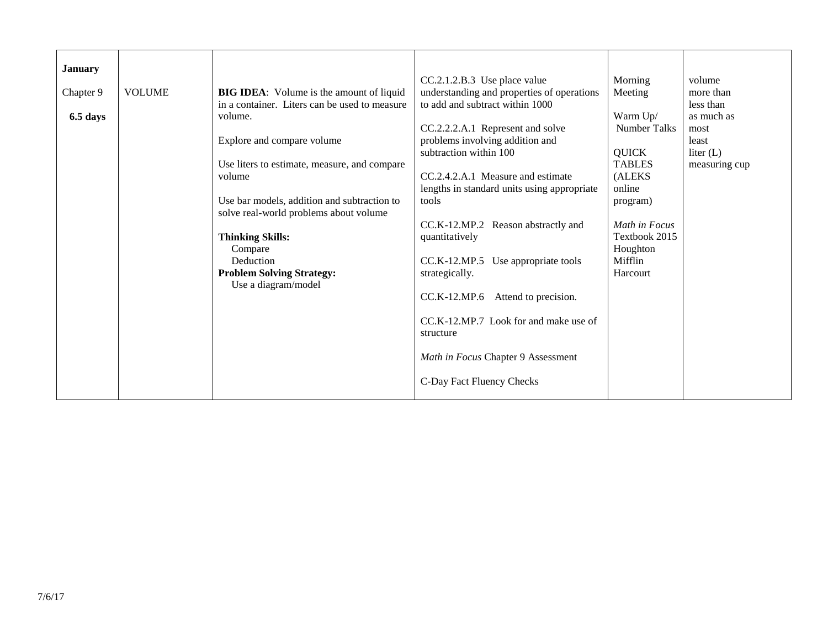| <b>January</b> |               |                                                 |                                                    |                     |               |
|----------------|---------------|-------------------------------------------------|----------------------------------------------------|---------------------|---------------|
|                |               |                                                 | CC.2.1.2.B.3 Use place value                       | Morning             | volume        |
| Chapter 9      | <b>VOLUME</b> | <b>BIG IDEA:</b> Volume is the amount of liquid | understanding and properties of operations         | Meeting             | more than     |
|                |               | in a container. Liters can be used to measure   | to add and subtract within 1000                    |                     | less than     |
| 6.5 days       |               | volume.                                         |                                                    | Warm Up/            | as much as    |
|                |               |                                                 | CC.2.2.2.A.1 Represent and solve                   | <b>Number Talks</b> | most          |
|                |               | Explore and compare volume                      | problems involving addition and                    |                     | least         |
|                |               |                                                 | subtraction within 100                             | <b>QUICK</b>        | liter $(L)$   |
|                |               | Use liters to estimate, measure, and compare    |                                                    | <b>TABLES</b>       | measuring cup |
|                |               | volume                                          | CC.2.4.2.A.1 Measure and estimate                  | (ALEKS              |               |
|                |               |                                                 | lengths in standard units using appropriate        | online              |               |
|                |               | Use bar models, addition and subtraction to     | tools                                              | program)            |               |
|                |               | solve real-world problems about volume          |                                                    |                     |               |
|                |               |                                                 | CC.K-12.MP.2 Reason abstractly and                 | Math in Focus       |               |
|                |               | <b>Thinking Skills:</b>                         | quantitatively                                     | Textbook 2015       |               |
|                |               | Compare                                         |                                                    | Houghton            |               |
|                |               | Deduction                                       | CC.K-12.MP.5 Use appropriate tools                 | Mifflin             |               |
|                |               |                                                 |                                                    | Harcourt            |               |
|                |               | <b>Problem Solving Strategy:</b>                | strategically.                                     |                     |               |
|                |               | Use a diagram/model                             |                                                    |                     |               |
|                |               |                                                 | CC.K-12.MP.6<br>Attend to precision.               |                     |               |
|                |               |                                                 |                                                    |                     |               |
|                |               |                                                 | CC <sub>.</sub> K-12.MP.7 Look for and make use of |                     |               |
|                |               |                                                 | structure                                          |                     |               |
|                |               |                                                 |                                                    |                     |               |
|                |               |                                                 | Math in Focus Chapter 9 Assessment                 |                     |               |
|                |               |                                                 |                                                    |                     |               |
|                |               |                                                 | C-Day Fact Fluency Checks                          |                     |               |
|                |               |                                                 |                                                    |                     |               |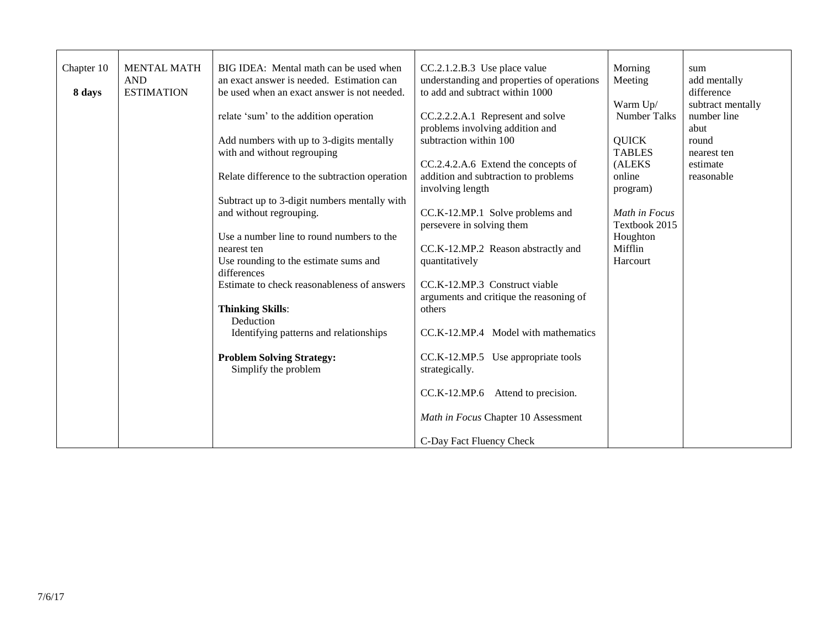| Chapter 10 | <b>MENTAL MATH</b> | BIG IDEA: Mental math can be used when         | CC.2.1.2.B.3 Use place value               | Morning       | sum               |
|------------|--------------------|------------------------------------------------|--------------------------------------------|---------------|-------------------|
|            | <b>AND</b>         | an exact answer is needed. Estimation can      | understanding and properties of operations | Meeting       | add mentally      |
| 8 days     | <b>ESTIMATION</b>  | be used when an exact answer is not needed.    | to add and subtract within 1000            |               | difference        |
|            |                    |                                                |                                            | Warm Up/      | subtract mentally |
|            |                    | relate 'sum' to the addition operation         | CC.2.2.2.A.1 Represent and solve           | Number Talks  | number line       |
|            |                    |                                                | problems involving addition and            |               | abut              |
|            |                    | Add numbers with up to 3-digits mentally       | subtraction within 100                     | <b>QUICK</b>  | round             |
|            |                    | with and without regrouping                    |                                            | <b>TABLES</b> | nearest ten       |
|            |                    |                                                | CC.2.4.2.A.6 Extend the concepts of        | (ALEKS        | estimate          |
|            |                    | Relate difference to the subtraction operation | addition and subtraction to problems       | online        | reasonable        |
|            |                    |                                                | involving length                           | program)      |                   |
|            |                    | Subtract up to 3-digit numbers mentally with   |                                            |               |                   |
|            |                    | and without regrouping.                        | CC.K-12.MP.1 Solve problems and            | Math in Focus |                   |
|            |                    |                                                | persevere in solving them                  | Textbook 2015 |                   |
|            |                    | Use a number line to round numbers to the      |                                            |               |                   |
|            |                    |                                                |                                            | Houghton      |                   |
|            |                    | nearest ten                                    | CC.K-12.MP.2 Reason abstractly and         | Mifflin       |                   |
|            |                    | Use rounding to the estimate sums and          | quantitatively                             | Harcourt      |                   |
|            |                    | differences                                    |                                            |               |                   |
|            |                    | Estimate to check reasonableness of answers    | CC.K-12.MP.3 Construct viable              |               |                   |
|            |                    |                                                | arguments and critique the reasoning of    |               |                   |
|            |                    | <b>Thinking Skills:</b>                        | others                                     |               |                   |
|            |                    | Deduction                                      |                                            |               |                   |
|            |                    | Identifying patterns and relationships         | CC.K-12.MP.4 Model with mathematics        |               |                   |
|            |                    |                                                |                                            |               |                   |
|            |                    | <b>Problem Solving Strategy:</b>               | CC.K-12.MP.5 Use appropriate tools         |               |                   |
|            |                    | Simplify the problem                           | strategically.                             |               |                   |
|            |                    |                                                |                                            |               |                   |
|            |                    |                                                | CC.K-12.MP.6 Attend to precision.          |               |                   |
|            |                    |                                                |                                            |               |                   |
|            |                    |                                                | Math in Focus Chapter 10 Assessment        |               |                   |
|            |                    |                                                |                                            |               |                   |
|            |                    |                                                | C-Day Fact Fluency Check                   |               |                   |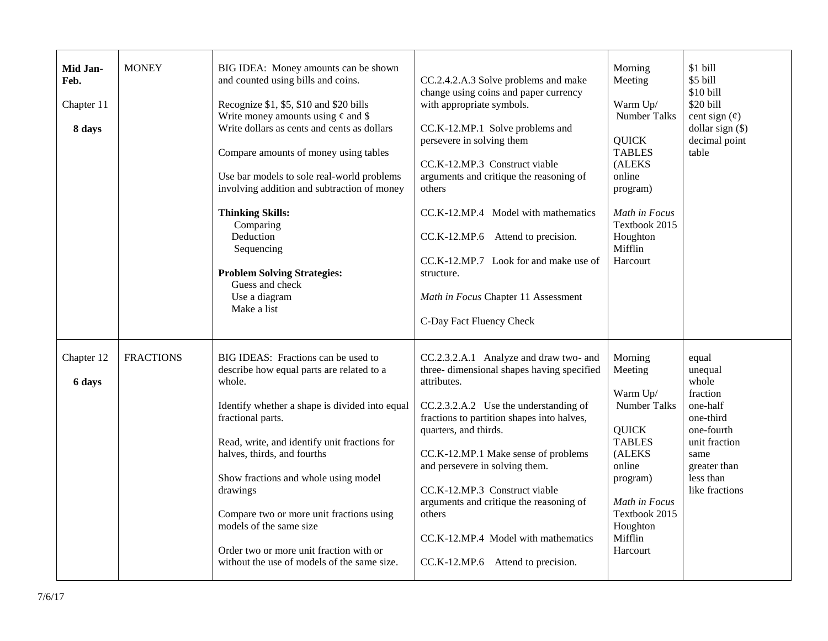| Mid Jan-<br>Feb.<br>Chapter 11<br>8 days | <b>MONEY</b>     | BIG IDEA: Money amounts can be shown<br>and counted using bills and coins.<br>Recognize \$1, \$5, \$10 and \$20 bills<br>Write money amounts using $\phi$ and \$<br>Write dollars as cents and cents as dollars<br>Compare amounts of money using tables<br>Use bar models to sole real-world problems<br>involving addition and subtraction of money<br><b>Thinking Skills:</b><br>Comparing<br>Deduction<br>Sequencing<br><b>Problem Solving Strategies:</b><br>Guess and check<br>Use a diagram<br>Make a list | CC.2.4.2.A.3 Solve problems and make<br>change using coins and paper currency<br>with appropriate symbols.<br>CC.K-12.MP.1 Solve problems and<br>persevere in solving them<br>CC.K-12.MP.3 Construct viable<br>arguments and critique the reasoning of<br>others<br>CC.K-12.MP.4 Model with mathematics<br>CC.K-12.MP.6 Attend to precision.<br>CC.K-12.MP.7 Look for and make use of<br>structure.<br>Math in Focus Chapter 11 Assessment<br>C-Day Fact Fluency Check | Morning<br>Meeting<br>Warm Up/<br><b>Number Talks</b><br><b>QUICK</b><br><b>TABLES</b><br>(ALEKS<br>online<br>program)<br>Math in Focus<br>Textbook 2015<br>Houghton<br>Mifflin<br>Harcourt | \$1 bill<br>\$5 bill<br>\$10 bill<br>\$20 bill<br>cent sign $(\phi)$<br>dollar sign $(\$)$<br>decimal point<br>table                                 |
|------------------------------------------|------------------|-------------------------------------------------------------------------------------------------------------------------------------------------------------------------------------------------------------------------------------------------------------------------------------------------------------------------------------------------------------------------------------------------------------------------------------------------------------------------------------------------------------------|------------------------------------------------------------------------------------------------------------------------------------------------------------------------------------------------------------------------------------------------------------------------------------------------------------------------------------------------------------------------------------------------------------------------------------------------------------------------|---------------------------------------------------------------------------------------------------------------------------------------------------------------------------------------------|------------------------------------------------------------------------------------------------------------------------------------------------------|
| Chapter 12<br>6 days                     | <b>FRACTIONS</b> | BIG IDEAS: Fractions can be used to<br>describe how equal parts are related to a<br>whole.<br>Identify whether a shape is divided into equal<br>fractional parts.<br>Read, write, and identify unit fractions for<br>halves, thirds, and fourths<br>Show fractions and whole using model<br>drawings<br>Compare two or more unit fractions using<br>models of the same size<br>Order two or more unit fraction with or<br>without the use of models of the same size.                                             | CC.2.3.2.A.1 Analyze and draw two- and<br>three- dimensional shapes having specified<br>attributes.<br>CC.2.3.2.A.2 Use the understanding of<br>fractions to partition shapes into halves,<br>quarters, and thirds.<br>CC.K-12.MP.1 Make sense of problems<br>and persevere in solving them.<br>CC.K-12.MP.3 Construct viable<br>arguments and critique the reasoning of<br>others<br>CC.K-12.MP.4 Model with mathematics<br>CC.K-12.MP.6 Attend to precision.         | Morning<br>Meeting<br>Warm Up/<br><b>Number Talks</b><br><b>QUICK</b><br><b>TABLES</b><br>(ALEKS<br>online<br>program)<br>Math in Focus<br>Textbook 2015<br>Houghton<br>Mifflin<br>Harcourt | equal<br>unequal<br>whole<br>fraction<br>one-half<br>one-third<br>one-fourth<br>unit fraction<br>same<br>greater than<br>less than<br>like fractions |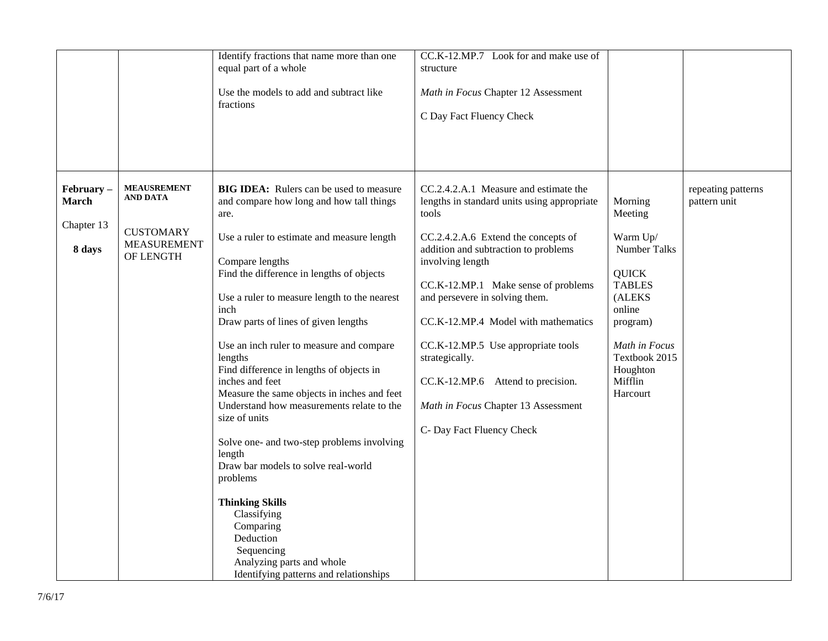|                                                   |                                                                                              | Identify fractions that name more than one<br>equal part of a whole<br>Use the models to add and subtract like<br>fractions                                                                                                                                                                                                                                                                                                                                                                                                                                                                                                                                                                                                                                                                                            | CC.K-12.MP.7 Look for and make use of<br>structure<br>Math in Focus Chapter 12 Assessment<br>C Day Fact Fluency Check                                                                                                                                                                                                                                                                                                                                                             |                                                                                                                                                                                             |                                    |
|---------------------------------------------------|----------------------------------------------------------------------------------------------|------------------------------------------------------------------------------------------------------------------------------------------------------------------------------------------------------------------------------------------------------------------------------------------------------------------------------------------------------------------------------------------------------------------------------------------------------------------------------------------------------------------------------------------------------------------------------------------------------------------------------------------------------------------------------------------------------------------------------------------------------------------------------------------------------------------------|-----------------------------------------------------------------------------------------------------------------------------------------------------------------------------------------------------------------------------------------------------------------------------------------------------------------------------------------------------------------------------------------------------------------------------------------------------------------------------------|---------------------------------------------------------------------------------------------------------------------------------------------------------------------------------------------|------------------------------------|
| February-<br><b>March</b><br>Chapter 13<br>8 days | <b>MEAUSREMENT</b><br><b>AND DATA</b><br><b>CUSTOMARY</b><br><b>MEASUREMENT</b><br>OF LENGTH | <b>BIG IDEA:</b> Rulers can be used to measure<br>and compare how long and how tall things<br>are.<br>Use a ruler to estimate and measure length<br>Compare lengths<br>Find the difference in lengths of objects<br>Use a ruler to measure length to the nearest<br>inch<br>Draw parts of lines of given lengths<br>Use an inch ruler to measure and compare<br>lengths<br>Find difference in lengths of objects in<br>inches and feet<br>Measure the same objects in inches and feet<br>Understand how measurements relate to the<br>size of units<br>Solve one- and two-step problems involving<br>length<br>Draw bar models to solve real-world<br>problems<br><b>Thinking Skills</b><br>Classifying<br>Comparing<br>Deduction<br>Sequencing<br>Analyzing parts and whole<br>Identifying patterns and relationships | CC.2.4.2.A.1 Measure and estimate the<br>lengths in standard units using appropriate<br>tools<br>CC.2.4.2.A.6 Extend the concepts of<br>addition and subtraction to problems<br>involving length<br>CC.K-12.MP.1 Make sense of problems<br>and persevere in solving them.<br>CC.K-12.MP.4 Model with mathematics<br>CC.K-12.MP.5 Use appropriate tools<br>strategically.<br>CC.K-12.MP.6 Attend to precision.<br>Math in Focus Chapter 13 Assessment<br>C- Day Fact Fluency Check | Morning<br>Meeting<br>Warm Up/<br><b>Number Talks</b><br><b>QUICK</b><br><b>TABLES</b><br>(ALEKS<br>online<br>program)<br>Math in Focus<br>Textbook 2015<br>Houghton<br>Mifflin<br>Harcourt | repeating patterns<br>pattern unit |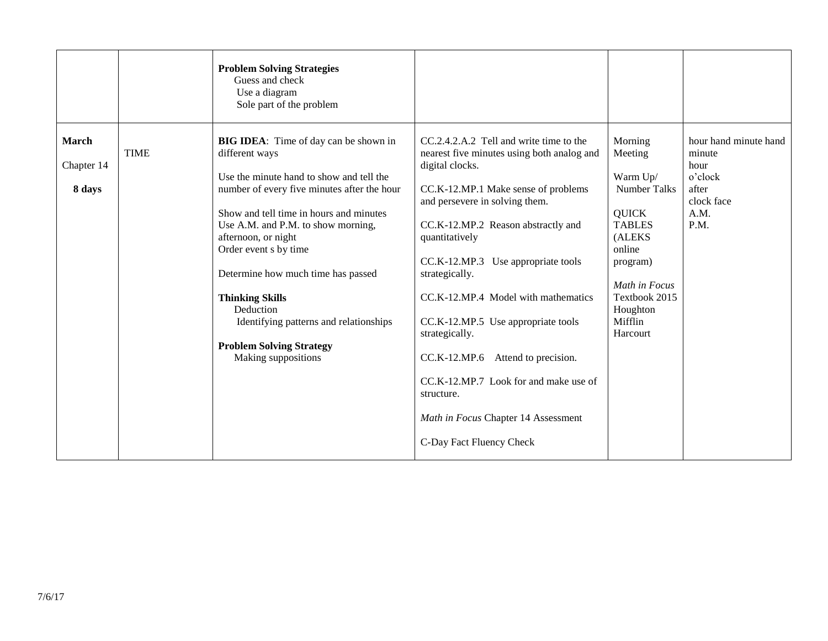|                               |             | <b>Problem Solving Strategies</b><br>Guess and check<br>Use a diagram<br>Sole part of the problem                                                                                                                                                                                                                                                                                                                                                                           |                                                                                                                                                                                                                                                                                                                                                                                                                                                                                                                                                                    |                                                                                                                                                                                             |                                                                                           |
|-------------------------------|-------------|-----------------------------------------------------------------------------------------------------------------------------------------------------------------------------------------------------------------------------------------------------------------------------------------------------------------------------------------------------------------------------------------------------------------------------------------------------------------------------|--------------------------------------------------------------------------------------------------------------------------------------------------------------------------------------------------------------------------------------------------------------------------------------------------------------------------------------------------------------------------------------------------------------------------------------------------------------------------------------------------------------------------------------------------------------------|---------------------------------------------------------------------------------------------------------------------------------------------------------------------------------------------|-------------------------------------------------------------------------------------------|
| March<br>Chapter 14<br>8 days | <b>TIME</b> | <b>BIG IDEA:</b> Time of day can be shown in<br>different ways<br>Use the minute hand to show and tell the<br>number of every five minutes after the hour<br>Show and tell time in hours and minutes<br>Use A.M. and P.M. to show morning,<br>afternoon, or night<br>Order event s by time<br>Determine how much time has passed<br><b>Thinking Skills</b><br>Deduction<br>Identifying patterns and relationships<br><b>Problem Solving Strategy</b><br>Making suppositions | CC.2.4.2.A.2 Tell and write time to the<br>nearest five minutes using both analog and<br>digital clocks.<br>CC.K-12.MP.1 Make sense of problems<br>and persevere in solving them.<br>CC.K-12.MP.2 Reason abstractly and<br>quantitatively<br>CC.K-12.MP.3 Use appropriate tools<br>strategically.<br>CC.K-12.MP.4 Model with mathematics<br>CC.K-12.MP.5 Use appropriate tools<br>strategically.<br>Attend to precision.<br>CC.K-12.MP.6<br>CC.K-12.MP.7 Look for and make use of<br>structure.<br>Math in Focus Chapter 14 Assessment<br>C-Day Fact Fluency Check | Morning<br>Meeting<br>Warm Up/<br><b>Number Talks</b><br><b>QUICK</b><br><b>TABLES</b><br>(ALEKS<br>online<br>program)<br>Math in Focus<br>Textbook 2015<br>Houghton<br>Mifflin<br>Harcourt | hour hand minute hand<br>minute<br>hour<br>o'clock<br>after<br>clock face<br>A.M.<br>P.M. |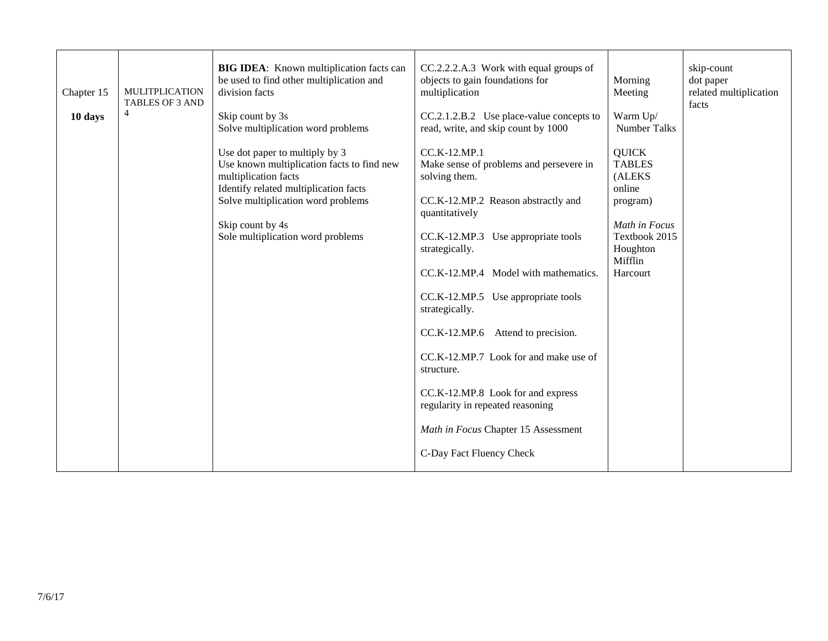| Chapter 15 | <b>MULITPLICATION</b><br><b>TABLES OF 3 AND</b> | <b>BIG IDEA:</b> Known multiplication facts can<br>be used to find other multiplication and<br>division facts                                                                                                                                | CC.2.2.2.A.3 Work with equal groups of<br>objects to gain foundations for<br>multiplication                                                                                                                                                                                                                                                                                                                                                                                                             | Morning<br>Meeting                                                                                                                 | skip-count<br>dot paper<br>related multiplication<br>facts |
|------------|-------------------------------------------------|----------------------------------------------------------------------------------------------------------------------------------------------------------------------------------------------------------------------------------------------|---------------------------------------------------------------------------------------------------------------------------------------------------------------------------------------------------------------------------------------------------------------------------------------------------------------------------------------------------------------------------------------------------------------------------------------------------------------------------------------------------------|------------------------------------------------------------------------------------------------------------------------------------|------------------------------------------------------------|
| 10 days    | $\overline{4}$                                  | Skip count by 3s<br>Solve multiplication word problems                                                                                                                                                                                       | $CC.2.1.2.B.2$ Use place-value concepts to<br>read, write, and skip count by 1000                                                                                                                                                                                                                                                                                                                                                                                                                       | Warm Up/<br><b>Number Talks</b>                                                                                                    |                                                            |
|            |                                                 | Use dot paper to multiply by 3<br>Use known multiplication facts to find new<br>multiplication facts<br>Identify related multiplication facts<br>Solve multiplication word problems<br>Skip count by 4s<br>Sole multiplication word problems | CC.K-12.MP.1<br>Make sense of problems and persevere in<br>solving them.<br>CC.K-12.MP.2 Reason abstractly and<br>quantitatively<br>CC.K-12.MP.3 Use appropriate tools<br>strategically.<br>CC.K-12.MP.4 Model with mathematics.<br>CC.K-12.MP.5 Use appropriate tools<br>strategically.<br>Attend to precision.<br>CC.K-12.MP.6<br>CC.K-12.MP.7 Look for and make use of<br>structure.<br>CC.K-12.MP.8 Look for and express<br>regularity in repeated reasoning<br>Math in Focus Chapter 15 Assessment | <b>QUICK</b><br><b>TABLES</b><br>(ALEKS<br>online<br>program)<br>Math in Focus<br>Textbook 2015<br>Houghton<br>Mifflin<br>Harcourt |                                                            |
|            |                                                 |                                                                                                                                                                                                                                              | C-Day Fact Fluency Check                                                                                                                                                                                                                                                                                                                                                                                                                                                                                |                                                                                                                                    |                                                            |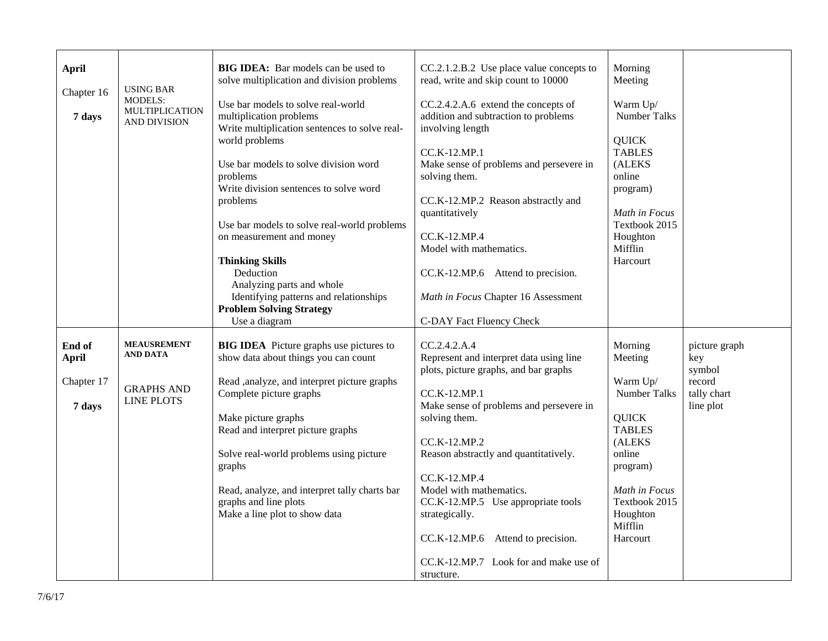| <b>April</b><br>Chapter 16<br>7 days | <b>USING BAR</b><br><b>MODELS:</b><br><b>MULTIPLICATION</b><br>AND DIVISION | <b>BIG IDEA:</b> Bar models can be used to<br>solve multiplication and division problems<br>Use bar models to solve real-world<br>multiplication problems<br>Write multiplication sentences to solve real-<br>world problems<br>Use bar models to solve division word<br>problems<br>Write division sentences to solve word<br>problems<br>Use bar models to solve real-world problems<br>on measurement and money<br><b>Thinking Skills</b><br>Deduction<br>Analyzing parts and whole<br>Identifying patterns and relationships<br><b>Problem Solving Strategy</b><br>Use a diagram | CC.2.1.2.B.2 Use place value concepts to<br>read, write and skip count to 10000<br>CC.2.4.2.A.6 extend the concepts of<br>addition and subtraction to problems<br>involving length<br>CC.K-12.MP.1<br>Make sense of problems and persevere in<br>solving them.<br>CC.K-12.MP.2 Reason abstractly and<br>quantitatively<br>$CC.K-12.MP.4$<br>Model with mathematics.<br>CC.K-12.MP.6 Attend to precision.<br>Math in Focus Chapter 16 Assessment<br>C-DAY Fact Fluency Check | Morning<br>Meeting<br>Warm Up/<br><b>Number Talks</b><br><b>QUICK</b><br><b>TABLES</b><br>(ALEKS<br>online<br>program)<br>Math in Focus<br>Textbook 2015<br>Houghton<br>Mifflin<br>Harcourt |                                    |
|--------------------------------------|-----------------------------------------------------------------------------|--------------------------------------------------------------------------------------------------------------------------------------------------------------------------------------------------------------------------------------------------------------------------------------------------------------------------------------------------------------------------------------------------------------------------------------------------------------------------------------------------------------------------------------------------------------------------------------|-----------------------------------------------------------------------------------------------------------------------------------------------------------------------------------------------------------------------------------------------------------------------------------------------------------------------------------------------------------------------------------------------------------------------------------------------------------------------------|---------------------------------------------------------------------------------------------------------------------------------------------------------------------------------------------|------------------------------------|
| End of<br><b>April</b>               | <b>MEAUSREMENT</b><br>AND DATA                                              | <b>BIG IDEA</b> Picture graphs use pictures to<br>show data about things you can count                                                                                                                                                                                                                                                                                                                                                                                                                                                                                               | CC.2.4.2.A.4<br>Represent and interpret data using line<br>plots, picture graphs, and bar graphs                                                                                                                                                                                                                                                                                                                                                                            | Morning<br>Meeting                                                                                                                                                                          | picture graph<br>key<br>symbol     |
| Chapter 17<br>7 days                 | <b>GRAPHS AND</b><br><b>LINE PLOTS</b>                                      | Read , analyze, and interpret picture graphs<br>Complete picture graphs<br>Make picture graphs<br>Read and interpret picture graphs<br>Solve real-world problems using picture<br>graphs<br>Read, analyze, and interpret tally charts bar<br>graphs and line plots<br>Make a line plot to show data                                                                                                                                                                                                                                                                                  | CC.K-12.MP.1<br>Make sense of problems and persevere in<br>solving them.<br>CC.K-12.MP.2<br>Reason abstractly and quantitatively.<br>CC.K-12.MP.4<br>Model with mathematics.<br>CC.K-12.MP.5 Use appropriate tools<br>strategically.<br>Attend to precision.<br>CC.K-12.MP.6<br>CC.K-12.MP.7 Look for and make use of<br>structure.                                                                                                                                         | Warm Up/<br>Number Talks<br><b>QUICK</b><br><b>TABLES</b><br>(ALEKS<br>online<br>program)<br>Math in Focus<br>Textbook 2015<br>Houghton<br>Mifflin<br>Harcourt                              | record<br>tally chart<br>line plot |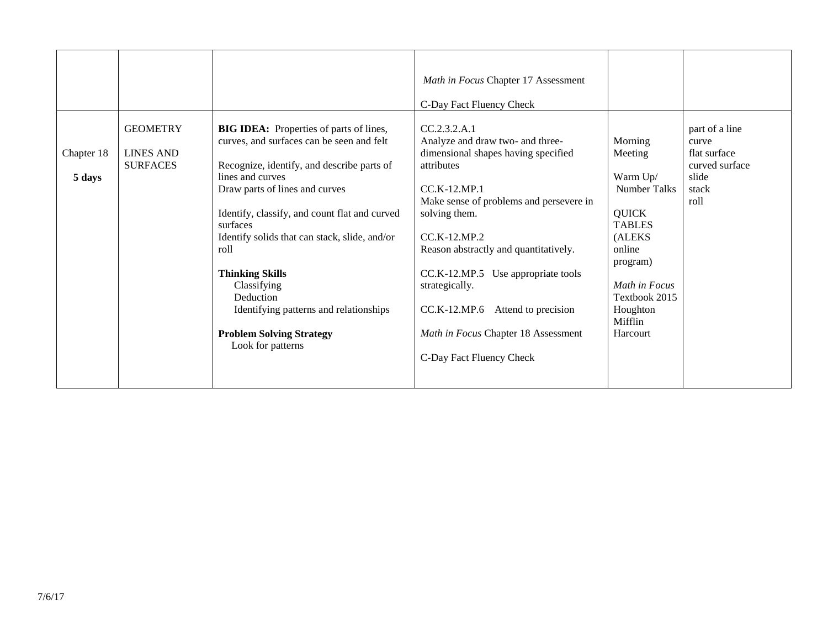|                      |                                                        |                                                                                                                                                                                                                                                                                                                                                                                                                                                          | Math in Focus Chapter 17 Assessment                                                                                                                                                                                                                                                                                                                                                     |                                                                                                                                                                                             |                                                                                     |
|----------------------|--------------------------------------------------------|----------------------------------------------------------------------------------------------------------------------------------------------------------------------------------------------------------------------------------------------------------------------------------------------------------------------------------------------------------------------------------------------------------------------------------------------------------|-----------------------------------------------------------------------------------------------------------------------------------------------------------------------------------------------------------------------------------------------------------------------------------------------------------------------------------------------------------------------------------------|---------------------------------------------------------------------------------------------------------------------------------------------------------------------------------------------|-------------------------------------------------------------------------------------|
|                      |                                                        |                                                                                                                                                                                                                                                                                                                                                                                                                                                          | C-Day Fact Fluency Check                                                                                                                                                                                                                                                                                                                                                                |                                                                                                                                                                                             |                                                                                     |
| Chapter 18<br>5 days | <b>GEOMETRY</b><br><b>LINES AND</b><br><b>SURFACES</b> | <b>BIG IDEA:</b> Properties of parts of lines,<br>curves, and surfaces can be seen and felt<br>Recognize, identify, and describe parts of<br>lines and curves<br>Draw parts of lines and curves<br>Identify, classify, and count flat and curved<br>surfaces<br>Identify solids that can stack, slide, and/or<br>roll<br><b>Thinking Skills</b><br>Classifying<br>Deduction<br>Identifying patterns and relationships<br><b>Problem Solving Strategy</b> | CC.2.3.2.A.1<br>Analyze and draw two- and three-<br>dimensional shapes having specified<br>attributes<br>$CC$ , $K-12$ , $MP.1$<br>Make sense of problems and persevere in<br>solving them.<br>CC.K-12.MP.2<br>Reason abstractly and quantitatively.<br>CC.K-12.MP.5 Use appropriate tools<br>strategically.<br>CC.K-12.MP.6 Attend to precision<br>Math in Focus Chapter 18 Assessment | Morning<br>Meeting<br>Warm Up/<br><b>Number Talks</b><br><b>QUICK</b><br><b>TABLES</b><br>(ALEKS<br>online<br>program)<br>Math in Focus<br>Textbook 2015<br>Houghton<br>Mifflin<br>Harcourt | part of a line<br>curve<br>flat surface<br>curved surface<br>slide<br>stack<br>roll |
|                      |                                                        | Look for patterns                                                                                                                                                                                                                                                                                                                                                                                                                                        | C-Day Fact Fluency Check                                                                                                                                                                                                                                                                                                                                                                |                                                                                                                                                                                             |                                                                                     |
|                      |                                                        |                                                                                                                                                                                                                                                                                                                                                                                                                                                          |                                                                                                                                                                                                                                                                                                                                                                                         |                                                                                                                                                                                             |                                                                                     |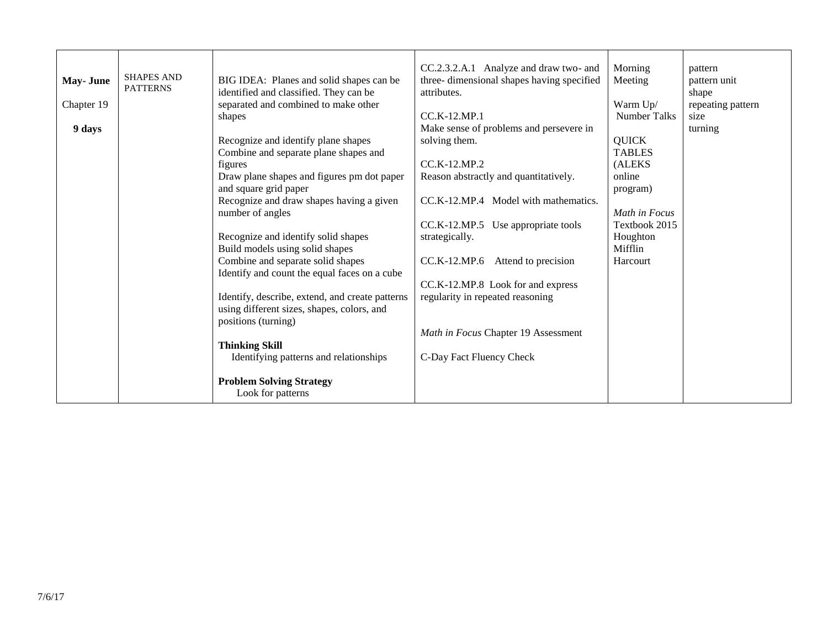| <b>May-June</b><br>Chapter 19<br>9 days | <b>SHAPES AND</b><br><b>PATTERNS</b> | BIG IDEA: Planes and solid shapes can be<br>identified and classified. They can be<br>separated and combined to make other<br>shapes<br>Recognize and identify plane shapes<br>Combine and separate plane shapes and<br>figures<br>Draw plane shapes and figures pm dot paper<br>and square grid paper<br>Recognize and draw shapes having a given<br>number of angles<br>Recognize and identify solid shapes<br>Build models using solid shapes<br>Combine and separate solid shapes<br>Identify and count the equal faces on a cube<br>Identify, describe, extend, and create patterns<br>using different sizes, shapes, colors, and<br>positions (turning)<br><b>Thinking Skill</b><br>Identifying patterns and relationships<br><b>Problem Solving Strategy</b> | CC.2.3.2.A.1 Analyze and draw two- and<br>three-dimensional shapes having specified<br>attributes.<br>$CC$ .K-12.MP.1<br>Make sense of problems and persevere in<br>solving them.<br>$CC.K-12.MP.2$<br>Reason abstractly and quantitatively.<br>CC.K-12.MP.4 Model with mathematics.<br>CC.K-12.MP.5 Use appropriate tools<br>strategically.<br>$CC.K-12.MP.6$ Attend to precision<br>CC.K-12.MP.8 Look for and express<br>regularity in repeated reasoning<br>Math in Focus Chapter 19 Assessment<br>C-Day Fact Fluency Check | Morning<br>Meeting<br>Warm Up/<br><b>Number Talks</b><br><b>QUICK</b><br><b>TABLES</b><br>(ALEKS<br>online<br>program)<br>Math in Focus<br>Textbook 2015<br>Houghton<br>Mifflin<br>Harcourt | pattern<br>pattern unit<br>shape<br>repeating pattern<br>size<br>turning |
|-----------------------------------------|--------------------------------------|---------------------------------------------------------------------------------------------------------------------------------------------------------------------------------------------------------------------------------------------------------------------------------------------------------------------------------------------------------------------------------------------------------------------------------------------------------------------------------------------------------------------------------------------------------------------------------------------------------------------------------------------------------------------------------------------------------------------------------------------------------------------|--------------------------------------------------------------------------------------------------------------------------------------------------------------------------------------------------------------------------------------------------------------------------------------------------------------------------------------------------------------------------------------------------------------------------------------------------------------------------------------------------------------------------------|---------------------------------------------------------------------------------------------------------------------------------------------------------------------------------------------|--------------------------------------------------------------------------|
|                                         |                                      | Look for patterns                                                                                                                                                                                                                                                                                                                                                                                                                                                                                                                                                                                                                                                                                                                                                   |                                                                                                                                                                                                                                                                                                                                                                                                                                                                                                                                |                                                                                                                                                                                             |                                                                          |